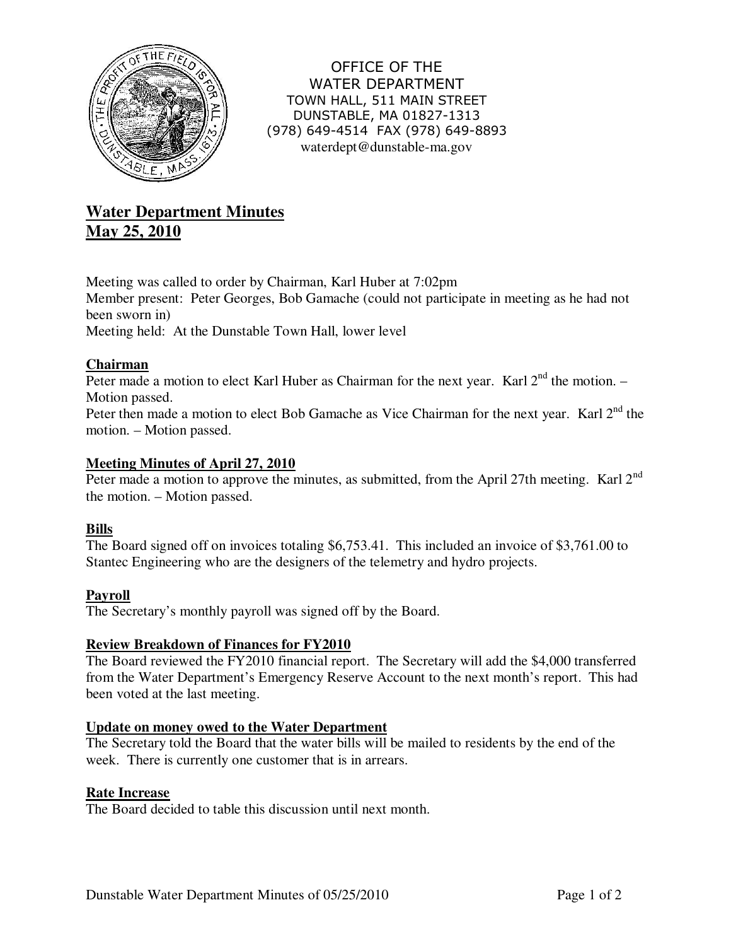

OFFICE OF THE WATER DEPARTMENT TOWN HALL, 511 MAIN STREET DUNSTABLE, MA 01827-1313 (978) 649-4514 FAX (978) 649-8893 waterdept@dunstable-ma.gov

# **Water Department Minutes May 25, 2010**

Meeting was called to order by Chairman, Karl Huber at 7:02pm Member present: Peter Georges, Bob Gamache (could not participate in meeting as he had not been sworn in) Meeting held: At the Dunstable Town Hall, lower level

## **Chairman**

Peter made a motion to elect Karl Huber as Chairman for the next year. Karl  $2<sup>nd</sup>$  the motion. – Motion passed.

Peter then made a motion to elect Bob Gamache as Vice Chairman for the next year. Karl 2<sup>nd</sup> the motion. – Motion passed.

## **Meeting Minutes of April 27, 2010**

Peter made a motion to approve the minutes, as submitted, from the April 27th meeting. Karl 2<sup>nd</sup> the motion. – Motion passed.

## **Bills**

The Board signed off on invoices totaling \$6,753.41. This included an invoice of \$3,761.00 to Stantec Engineering who are the designers of the telemetry and hydro projects.

## **Payroll**

The Secretary's monthly payroll was signed off by the Board.

## **Review Breakdown of Finances for FY2010**

The Board reviewed the FY2010 financial report. The Secretary will add the \$4,000 transferred from the Water Department's Emergency Reserve Account to the next month's report. This had been voted at the last meeting.

## **Update on money owed to the Water Department**

The Secretary told the Board that the water bills will be mailed to residents by the end of the week. There is currently one customer that is in arrears.

## **Rate Increase**

The Board decided to table this discussion until next month.